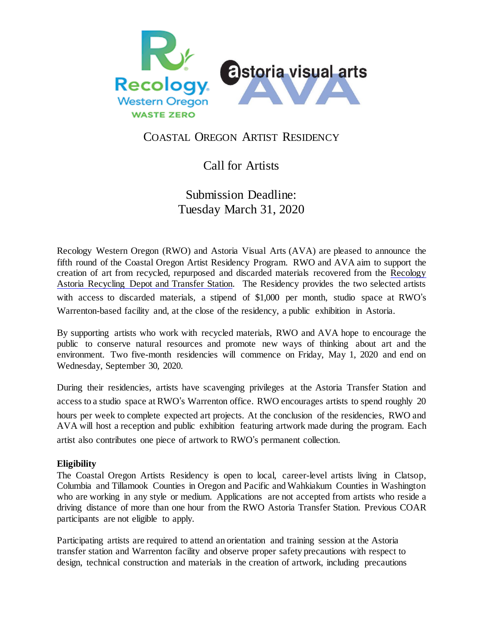

### COASTAL OREGON ARTIST RESIDENCY

# Call for Artists

## Submission Deadline: Tuesday March 31, 2020

Recology Western Oregon (RWO) and Astoria Visual Arts (AVA) are pleased to announce the fifth round of the Coastal Oregon Artist Residency Program. RWO and AVA aim to support the creation of art from recycled, repurposed and discarded materials recovered from the [Recology](http://www.recologywesternoregon.com/index.php/clatsop-counties/astoria-transfer-station) Astoria [Recycling](http://www.recologywesternoregon.com/index.php/clatsop-counties/astoria-transfer-station) Depot and Transfer Station. The Residency provides the two selected artists with access to discarded materials, a stipend of \$1,000 per month, studio space at RWO's Warrenton-based facility and, at the close of the residency, a public exhibition in Astoria.

By supporting artists who work with recycled materials, RWO and AVA hope to encourage the public to conserve natural resources and promote new ways of thinking about art and the environment. Two five-month residencies will commence on Friday, May 1, 2020 and end on Wednesday, September 30, 2020.

During their residencies, artists have scavenging privileges at the Astoria Transfer Station and access to a studio space at RWO's Warrenton office. RWO encourages artists to spend roughly 20 hours per week to complete expected art projects. At the conclusion of the residencies, RWO and AVA will host a reception and public exhibition featuring artwork made during the program. Each artist also contributes one piece of artwork to RWO's permanent collection.

### **Eligibility**

The Coastal Oregon Artists Residency is open to local, career-level artists living in Clatsop, Columbia and Tillamook Counties in Oregon and Pacific and Wahkiakum Counties in Washington who are working in any style or medium. Applications are not accepted from artists who reside a driving distance of more than one hour from the RWO Astoria Transfer Station. Previous COAR participants are not eligible to apply.

Participating artists are required to attend an orientation and training session at the Astoria transfer station and Warrenton facility and observe proper safety precautions with respect to design, technical construction and materials in the creation of artwork, including precautions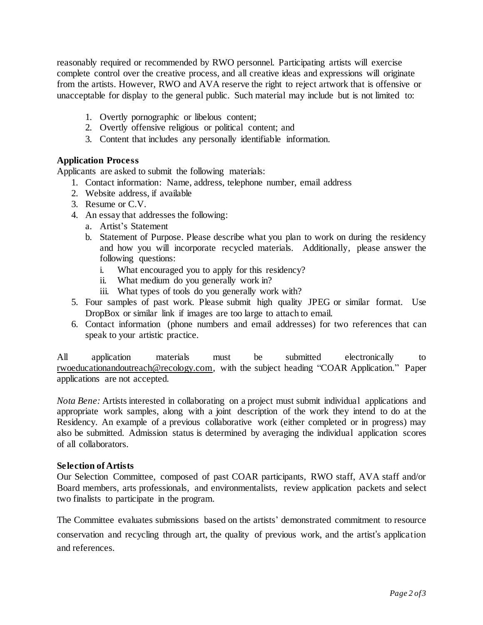reasonably required or recommended by RWO personnel. Participating artists will exercise complete control over the creative process, and all creative ideas and expressions will originate from the artists. However, RWO and AVA reserve the right to reject artwork that is offensive or unacceptable for display to the general public. Such material may include but is not limited to:

- 1. Overtly pornographic or libelous content;
- 2. Overtly offensive religious or political content; and
- 3. Content that includes any personally identifiable information.

#### **Application Process**

Applicants are asked to submit the following materials:

- 1. Contact information: Name, address, telephone number, email address
- 2. Website address, if available
- 3. Resume or C.V.
- 4. An essay that addresses the following:
	- a. Artist's Statement
	- b. Statement of Purpose. Please describe what you plan to work on during the residency and how you will incorporate recycled materials. Additionally, please answer the following questions:
		- i. What encouraged you to apply for this residency?
		- ii. What medium do you generally work in?
		- iii. What types of tools do you generally work with?
- 5. Four samples of past work. Please submit high quality JPEG or similar format. Use DropBox or similar link if images are too large to attach to email.
- 6. Contact information (phone numbers and email addresses) for two references that can speak to your artistic practice.

All application materials must be submitted electronically to [rwoeducationandoutreach@recology.com,](mailto:rwoeducationandoutreach@recology.com) with the subject heading "COAR Application." Paper applications are not accepted.

*Nota Bene:* Artists interested in collaborating on a project must submit individual applications and appropriate work samples, along with a joint description of the work they intend to do at the Residency. An example of a previous collaborative work (either completed or in progress) may also be submitted. Admission status is determined by averaging the individual application scores of all collaborators.

#### **Selection ofArtists**

Our Selection Committee, composed of past COAR participants, RWO staff, AVA staff and/or Board members, arts professionals, and environmentalists, review application packets and select two finalists to participate in the program.

The Committee evaluates submissions based on the artists' demonstrated commitment to resource conservation and recycling through art, the quality of previous work, and the artist's application and references.